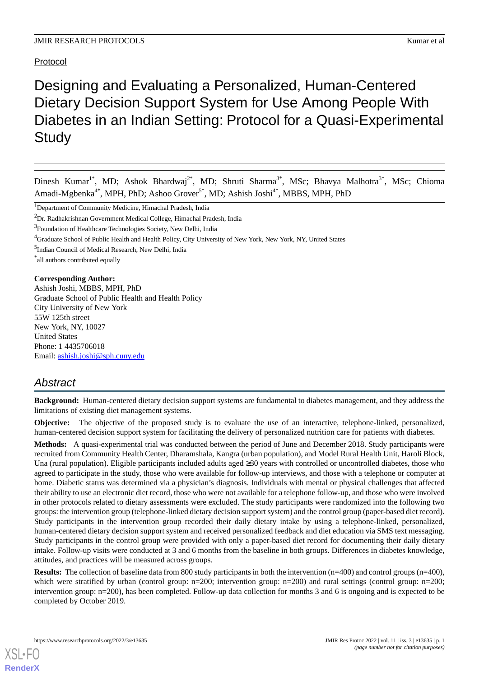Protocol

# Designing and Evaluating a Personalized, Human-Centered Dietary Decision Support System for Use Among People With Diabetes in an Indian Setting: Protocol for a Quasi-Experimental **Study**

Dinesh Kumar<sup>1\*</sup>, MD; Ashok Bhardwaj<sup>2\*</sup>, MD; Shruti Sharma<sup>3\*</sup>, MSc; Bhavya Malhotra<sup>3\*</sup>, MSc; Chioma Amadi-Mgbenka<sup>4\*</sup>, MPH, PhD; Ashoo Grover<sup>5\*</sup>, MD; Ashish Joshi<sup>4\*</sup>, MBBS, MPH, PhD

\* all authors contributed equally

### **Corresponding Author:**

Ashish Joshi, MBBS, MPH, PhD Graduate School of Public Health and Health Policy City University of New York 55W 125th street New York, NY, 10027 United States Phone: 1 4435706018 Email: [ashish.joshi@sph.cuny.edu](mailto:ashish.joshi@sph.cuny.edu)

# *Abstract*

**Background:** Human-centered dietary decision support systems are fundamental to diabetes management, and they address the limitations of existing diet management systems.

**Objective:** The objective of the proposed study is to evaluate the use of an interactive, telephone-linked, personalized, human-centered decision support system for facilitating the delivery of personalized nutrition care for patients with diabetes.

**Methods:** A quasi-experimental trial was conducted between the period of June and December 2018. Study participants were recruited from Community Health Center, Dharamshala, Kangra (urban population), and Model Rural Health Unit, Haroli Block, Una (rural population). Eligible participants included adults aged  $\geq$ 30 years with controlled or uncontrolled diabetes, those who agreed to participate in the study, those who were available for follow-up interviews, and those with a telephone or computer at home. Diabetic status was determined via a physician's diagnosis. Individuals with mental or physical challenges that affected their ability to use an electronic diet record, those who were not available for a telephone follow-up, and those who were involved in other protocols related to dietary assessments were excluded. The study participants were randomized into the following two groups: the intervention group (telephone-linked dietary decision support system) and the control group (paper-based diet record). Study participants in the intervention group recorded their daily dietary intake by using a telephone-linked, personalized, human-centered dietary decision support system and received personalized feedback and diet education via SMS text messaging. Study participants in the control group were provided with only a paper-based diet record for documenting their daily dietary intake. Follow-up visits were conducted at 3 and 6 months from the baseline in both groups. Differences in diabetes knowledge, attitudes, and practices will be measured across groups.

**Results:** The collection of baseline data from 800 study participants in both the intervention (n=400) and control groups (n=400), which were stratified by urban (control group:  $n=200$ ; intervention group:  $n=200$ ) and rural settings (control group:  $n=200$ ; intervention group: n=200), has been completed. Follow-up data collection for months 3 and 6 is ongoing and is expected to be completed by October 2019.

<sup>&</sup>lt;sup>1</sup>Department of Community Medicine, Himachal Pradesh, India

<sup>2</sup>Dr. Radhakrishnan Government Medical College, Himachal Pradesh, India

<sup>&</sup>lt;sup>3</sup> Foundation of Healthcare Technologies Society, New Delhi, India

<sup>4</sup>Graduate School of Public Health and Health Policy, City University of New York, New York, NY, United States

<sup>&</sup>lt;sup>5</sup>Indian Council of Medical Research, New Delhi, India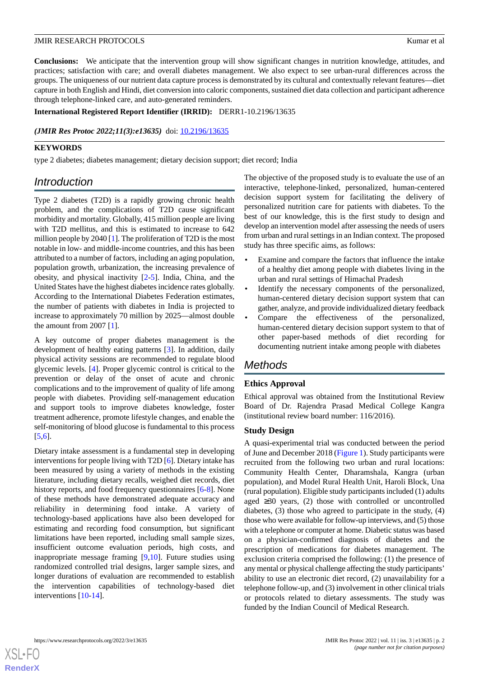**Conclusions:** We anticipate that the intervention group will show significant changes in nutrition knowledge, attitudes, and practices; satisfaction with care; and overall diabetes management. We also expect to see urban-rural differences across the groups. The uniqueness of our nutrient data capture process is demonstrated by its cultural and contextually relevant features—diet capture in both English and Hindi, diet conversion into caloric components, sustained diet data collection and participant adherence through telephone-linked care, and auto-generated reminders.

#### **International Registered Report Identifier (IRRID):** DERR1-10.2196/13635

#### *(JMIR Res Protoc 2022;11(3):e13635)* doi: [10.2196/13635](http://dx.doi.org/10.2196/13635)

### **KEYWORDS**

type 2 diabetes; diabetes management; dietary decision support; diet record; India

# *Introduction*

Type 2 diabetes (T2D) is a rapidly growing chronic health problem, and the complications of T2D cause significant morbidity and mortality. Globally, 415 million people are living with T2D mellitus, and this is estimated to increase to 642 million people by 2040 [\[1](#page-7-0)]. The proliferation of T2D is the most notable in low- and middle-income countries, and this has been attributed to a number of factors, including an aging population, population growth, urbanization, the increasing prevalence of obesity, and physical inactivity [\[2](#page-7-1)[-5](#page-7-2)]. India, China, and the United States have the highest diabetes incidence rates globally. According to the International Diabetes Federation estimates, the number of patients with diabetes in India is projected to increase to approximately 70 million by 2025—almost double the amount from 2007 [[1](#page-7-0)].

A key outcome of proper diabetes management is the development of healthy eating patterns [\[3](#page-7-3)]. In addition, daily physical activity sessions are recommended to regulate blood glycemic levels. [[4\]](#page-7-4). Proper glycemic control is critical to the prevention or delay of the onset of acute and chronic complications and to the improvement of quality of life among people with diabetes. Providing self-management education and support tools to improve diabetes knowledge, foster treatment adherence, promote lifestyle changes, and enable the self-monitoring of blood glucose is fundamental to this process [[5](#page-7-2)[,6](#page-7-5)].

Dietary intake assessment is a fundamental step in developing interventions for people living with T2D [\[6](#page-7-5)]. Dietary intake has been measured by using a variety of methods in the existing literature, including dietary recalls, weighed diet records, diet history reports, and food frequency questionnaires [\[6-](#page-7-5)[8\]](#page-7-6). None of these methods have demonstrated adequate accuracy and reliability in determining food intake. A variety of technology-based applications have also been developed for estimating and recording food consumption, but significant limitations have been reported, including small sample sizes, insufficient outcome evaluation periods, high costs, and inappropriate message framing [[9,](#page-7-7)[10](#page-8-0)]. Future studies using randomized controlled trial designs, larger sample sizes, and longer durations of evaluation are recommended to establish the intervention capabilities of technology-based diet interventions [\[10](#page-8-0)-[14\]](#page-8-1).

The objective of the proposed study is to evaluate the use of an interactive, telephone-linked, personalized, human-centered decision support system for facilitating the delivery of personalized nutrition care for patients with diabetes. To the best of our knowledge, this is the first study to design and develop an intervention model after assessing the needs of users from urban and rural settings in an Indian context. The proposed study has three specific aims, as follows:

- Examine and compare the factors that influence the intake of a healthy diet among people with diabetes living in the urban and rural settings of Himachal Pradesh
- Identify the necessary components of the personalized, human-centered dietary decision support system that can gather, analyze, and provide individualized dietary feedback
- Compare the effectiveness of the personalized, human-centered dietary decision support system to that of other paper-based methods of diet recording for documenting nutrient intake among people with diabetes

# *Methods*

# **Ethics Approval**

Ethical approval was obtained from the Institutional Review Board of Dr. Rajendra Prasad Medical College Kangra (institutional review board number: 116/2016).

#### **Study Design**

A quasi-experimental trial was conducted between the period of June and December 2018 ([Figure 1\)](#page-2-0). Study participants were recruited from the following two urban and rural locations: Community Health Center, Dharamshala, Kangra (urban population), and Model Rural Health Unit, Haroli Block, Una (rural population). Eligible study participants included (1) adults aged ≥30 years, (2) those with controlled or uncontrolled diabetes, (3) those who agreed to participate in the study, (4) those who were available for follow-up interviews, and (5) those with a telephone or computer at home. Diabetic status was based on a physician-confirmed diagnosis of diabetes and the prescription of medications for diabetes management. The exclusion criteria comprised the following: (1) the presence of any mental or physical challenge affecting the study participants' ability to use an electronic diet record, (2) unavailability for a telephone follow-up, and (3) involvement in other clinical trials or protocols related to dietary assessments. The study was funded by the Indian Council of Medical Research.

 $XS$ -FO **[RenderX](http://www.renderx.com/)**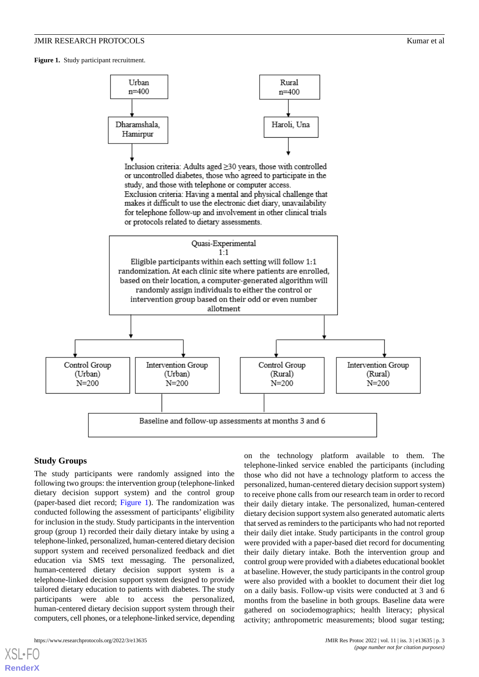<span id="page-2-0"></span>Figure 1. Study participant recruitment.



#### **Study Groups**

The study participants were randomly assigned into the following two groups: the intervention group (telephone-linked dietary decision support system) and the control group (paper-based diet record; [Figure 1\)](#page-2-0). The randomization was conducted following the assessment of participants' eligibility for inclusion in the study. Study participants in the intervention group (group 1) recorded their daily dietary intake by using a telephone-linked, personalized, human-centered dietary decision support system and received personalized feedback and diet education via SMS text messaging. The personalized, human-centered dietary decision support system is a telephone-linked decision support system designed to provide tailored dietary education to patients with diabetes. The study participants were able to access the personalized, human-centered dietary decision support system through their computers, cell phones, or a telephone-linked service, depending

https://www.researchprotocols.org/2022/3/e13635 JMIR Res Protoc 2022 | vol. 11 | iss. 3 | e13635 | p. 3

[XSL](http://www.w3.org/Style/XSL)•FO **[RenderX](http://www.renderx.com/)**

on the technology platform available to them. The telephone-linked service enabled the participants (including those who did not have a technology platform to access the personalized, human-centered dietary decision support system) to receive phone calls from our research team in order to record their daily dietary intake. The personalized, human-centered dietary decision support system also generated automatic alerts that served as reminders to the participants who had not reported their daily diet intake. Study participants in the control group were provided with a paper-based diet record for documenting their daily dietary intake. Both the intervention group and control group were provided with a diabetes educational booklet at baseline. However, the study participants in the control group were also provided with a booklet to document their diet log on a daily basis. Follow-up visits were conducted at 3 and 6 months from the baseline in both groups. Baseline data were gathered on sociodemographics; health literacy; physical activity; anthropometric measurements; blood sugar testing;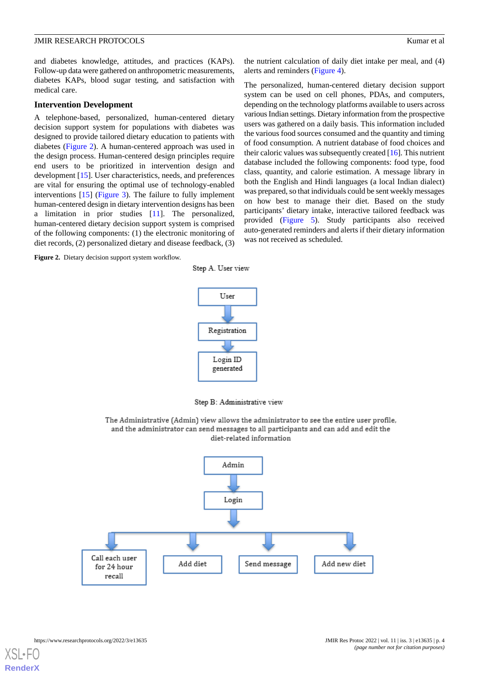and diabetes knowledge, attitudes, and practices (KAPs). Follow-up data were gathered on anthropometric measurements, diabetes KAPs, blood sugar testing, and satisfaction with medical care.

#### **Intervention Development**

A telephone-based, personalized, human-centered dietary decision support system for populations with diabetes was designed to provide tailored dietary education to patients with diabetes ([Figure 2](#page-3-0)). A human-centered approach was used in the design process. Human-centered design principles require end users to be prioritized in intervention design and development [[15\]](#page-8-2). User characteristics, needs, and preferences are vital for ensuring the optimal use of technology-enabled interventions [[15\]](#page-8-2) ([Figure 3\)](#page-4-0). The failure to fully implement human-centered design in dietary intervention designs has been a limitation in prior studies [\[11](#page-8-3)]. The personalized, human-centered dietary decision support system is comprised of the following components: (1) the electronic monitoring of diet records, (2) personalized dietary and disease feedback, (3)

<span id="page-3-0"></span>Figure 2. Dietary decision support system workflow.

the nutrient calculation of daily diet intake per meal, and (4) alerts and reminders ([Figure 4](#page-4-1)).

The personalized, human-centered dietary decision support system can be used on cell phones, PDAs, and computers, depending on the technology platforms available to users across various Indian settings. Dietary information from the prospective users was gathered on a daily basis. This information included the various food sources consumed and the quantity and timing of food consumption. A nutrient database of food choices and their caloric values was subsequently created [[16\]](#page-8-4). This nutrient database included the following components: food type, food class, quantity, and calorie estimation. A message library in both the English and Hindi languages (a local Indian dialect) was prepared, so that individuals could be sent weekly messages on how best to manage their diet. Based on the study participants' dietary intake, interactive tailored feedback was provided [\(Figure 5](#page-5-0)). Study participants also received auto-generated reminders and alerts if their dietary information was not received as scheduled.



Step A. User view

Step B: Administrative view

The Administrative (Admin) view allows the administrator to see the entire user profile, and the administrator can send messages to all participants and can add and edit the diet-related information

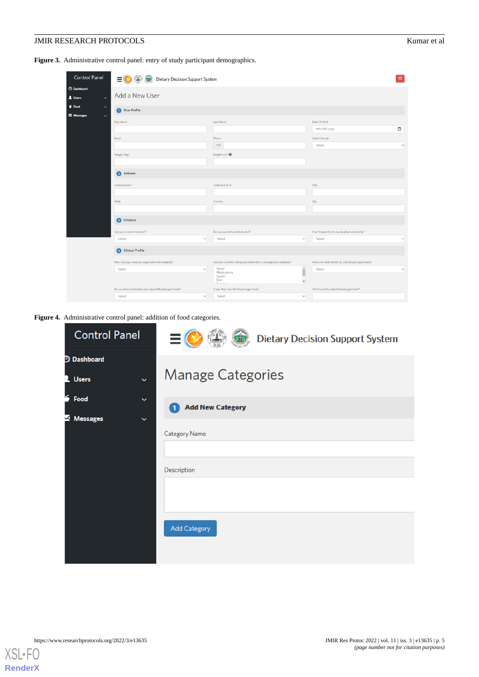<span id="page-4-0"></span>Figure 3. Administrative control panel: entry of study participant demographics.

| <b>Control Panel</b>                          |                                                          |                                                                 |                                                   |  |  |
|-----------------------------------------------|----------------------------------------------------------|-----------------------------------------------------------------|---------------------------------------------------|--|--|
|                                               | $\equiv$ (<br>Dietary Decision Support System<br>$\circ$ |                                                                 |                                                   |  |  |
| <b>O</b> Dashboard<br>1 Users<br>$\checkmark$ | Add a New User                                           |                                                                 |                                                   |  |  |
| $6$ Food<br>$\checkmark$                      | User Profile                                             |                                                                 |                                                   |  |  |
| Messages<br>$\checkmark$                      | First Name                                               | Last Name                                                       | Date Of Birth                                     |  |  |
|                                               |                                                          |                                                                 | $\Box$<br>mm/dd/yyyy                              |  |  |
|                                               | Email                                                    | Phone                                                           | Select Gender                                     |  |  |
|                                               |                                                          | $+91$                                                           | Select<br>$\checkmark$                            |  |  |
|                                               | Weight (Kg)                                              | Height (cm) <sup>O</sup>                                        |                                                   |  |  |
|                                               |                                                          |                                                                 |                                                   |  |  |
|                                               | Address                                                  |                                                                 |                                                   |  |  |
|                                               | Address Line 1                                           | Address Line 2                                                  | City                                              |  |  |
|                                               |                                                          |                                                                 |                                                   |  |  |
|                                               | State                                                    | Country                                                         | Zip                                               |  |  |
|                                               |                                                          |                                                                 |                                                   |  |  |
|                                               | <b>B</b> Lifestyle                                       |                                                                 |                                                   |  |  |
|                                               | Are you a current smoker?                                | Do you currently drink alcohol?                                 | How frequently do you do physical activity?       |  |  |
|                                               | Select<br>$\checkmark$                                   | Select<br>v                                                     | Select<br>$\checkmark$                            |  |  |
|                                               | Clinical Profile                                         |                                                                 |                                                   |  |  |
|                                               | How long ago were you diagnosed with diabetes?           | Are you currently taking any treatment to manage your diabetes? | Have you been tested for your blood sugar levels? |  |  |
|                                               | Select<br>$\checkmark$                                   | Î<br>Select<br>Medications                                      | Select<br>$\checkmark$                            |  |  |
|                                               |                                                          | Insulin<br>Diet<br>$\scriptstyle\rm w$<br>Forester              |                                                   |  |  |
|                                               | Do you know remember your recent Blood sugar levels?     | If yes, then was this blood sugar level?                        | What was the actual blood sugar level?            |  |  |
|                                               | Select<br>$\checkmark$                                   | Select<br>$\checkmark$                                          |                                                   |  |  |

<span id="page-4-1"></span>**Figure 4.** Administrative control panel: addition of food categories.

| <b>Control Panel</b>         | $\equiv$<br><b>Dietary Decision Support System</b> |
|------------------------------|----------------------------------------------------|
| <b>Dashboard</b>             |                                                    |
| <b>Users</b><br>$\checkmark$ | <b>Manage Categories</b>                           |
| ×<br>Food<br>$\checkmark$    | <b>Add New Category</b>                            |
| Messages<br>$\check{ }$      |                                                    |
|                              | <b>Category Name</b>                               |
|                              |                                                    |
|                              | Description                                        |
|                              |                                                    |
|                              |                                                    |
|                              | <b>Add Category</b>                                |
|                              |                                                    |

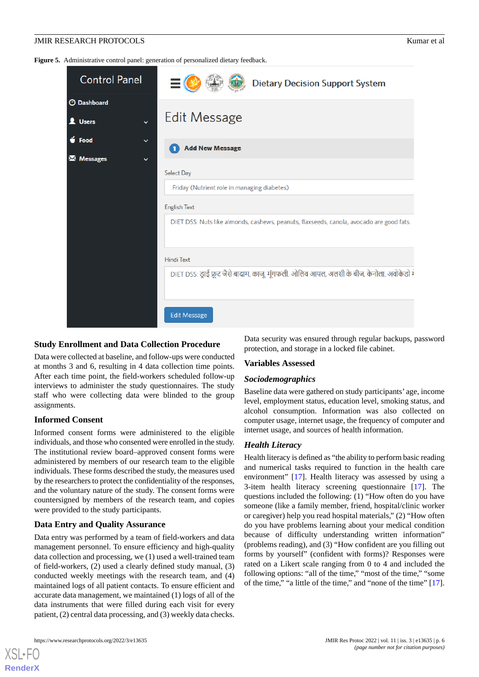<span id="page-5-0"></span>Figure 5. Administrative control panel: generation of personalized dietary feedback.

| <b>Control Panel</b>                                        | <b>Dietary Decision Support System</b>                                                    |  |
|-------------------------------------------------------------|-------------------------------------------------------------------------------------------|--|
| <b>3</b> Dashboard<br><b>1</b> Users<br>$\checkmark$        | Edit Message                                                                              |  |
| $\bullet$ Food<br>$\check{ }$<br>M Messages<br>$\checkmark$ | <b>Add New Message</b>                                                                    |  |
|                                                             | <b>Select Day</b>                                                                         |  |
|                                                             | Friday (Nutrient role in managing diabetes)                                               |  |
|                                                             | <b>English Text</b>                                                                       |  |
|                                                             | DIET DSS: Nuts like almonds, cashews, peanuts, flaxseeds, canola, avocado are good fats.  |  |
|                                                             | <b>Hindi Text</b>                                                                         |  |
|                                                             | DIET DSS: ड्राई फ्रूट जैसे बादाम, काजू, मूंगफली, ओलिव आयल, अलसी के बीज, केनोला, अवोकेडो ग |  |
|                                                             | <b>Edit Message</b>                                                                       |  |

#### **Study Enrollment and Data Collection Procedure**

Data were collected at baseline, and follow-ups were conducted at months 3 and 6, resulting in 4 data collection time points. After each time point, the field-workers scheduled follow-up interviews to administer the study questionnaires. The study staff who were collecting data were blinded to the group assignments.

#### **Informed Consent**

Informed consent forms were administered to the eligible individuals, and those who consented were enrolled in the study. The institutional review board–approved consent forms were administered by members of our research team to the eligible individuals. These forms described the study, the measures used by the researchers to protect the confidentiality of the responses, and the voluntary nature of the study. The consent forms were countersigned by members of the research team, and copies were provided to the study participants.

# **Data Entry and Quality Assurance**

Data entry was performed by a team of field-workers and data management personnel. To ensure efficiency and high-quality data collection and processing, we (1) used a well-trained team of field-workers, (2) used a clearly defined study manual, (3) conducted weekly meetings with the research team, and (4) maintained logs of all patient contacts. To ensure efficient and accurate data management, we maintained (1) logs of all of the data instruments that were filled during each visit for every patient, (2) central data processing, and (3) weekly data checks.

Data security was ensured through regular backups, password protection, and storage in a locked file cabinet.

#### **Variables Assessed**

#### *Sociodemographics*

Baseline data were gathered on study participants' age, income level, employment status, education level, smoking status, and alcohol consumption. Information was also collected on computer usage, internet usage, the frequency of computer and internet usage, and sources of health information.

# *Health Literacy*

Health literacy is defined as "the ability to perform basic reading and numerical tasks required to function in the health care environment" [[17\]](#page-8-5). Health literacy was assessed by using a 3-item health literacy screening questionnaire [\[17](#page-8-5)]. The questions included the following: (1) "How often do you have someone (like a family member, friend, hospital/clinic worker or caregiver) help you read hospital materials," (2) "How often do you have problems learning about your medical condition because of difficulty understanding written information" (problems reading), and (3) "How confident are you filling out forms by yourself" (confident with forms)? Responses were rated on a Likert scale ranging from 0 to 4 and included the following options: "all of the time," "most of the time," "some of the time," "a little of the time," and "none of the time" [[17\]](#page-8-5).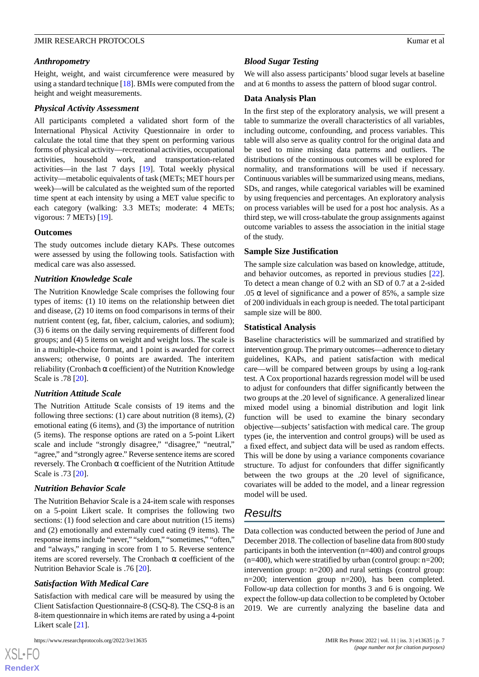#### *Anthropometry*

Height, weight, and waist circumference were measured by using a standard technique [[18\]](#page-8-6). BMIs were computed from the height and weight measurements.

#### *Physical Activity Assessment*

All participants completed a validated short form of the International Physical Activity Questionnaire in order to calculate the total time that they spent on performing various forms of physical activity—recreational activities, occupational activities, household work, and transportation-related activities—in the last 7 days [[19\]](#page-8-7). Total weekly physical activity—metabolic equivalents of task (METs; MET hours per week)—will be calculated as the weighted sum of the reported time spent at each intensity by using a MET value specific to each category (walking: 3.3 METs; moderate: 4 METs; vigorous: 7 METs) [\[19](#page-8-7)].

#### **Outcomes**

The study outcomes include dietary KAPs. These outcomes were assessed by using the following tools. Satisfaction with medical care was also assessed.

#### *Nutrition Knowledge Scale*

The Nutrition Knowledge Scale comprises the following four types of items: (1) 10 items on the relationship between diet and disease, (2) 10 items on food comparisons in terms of their nutrient content (eg, fat, fiber, calcium, calories, and sodium); (3) 6 items on the daily serving requirements of different food groups; and (4) 5 items on weight and weight loss. The scale is in a multiple-choice format, and 1 point is awarded for correct answers; otherwise, 0 points are awarded. The interitem reliability (Cronbach α coefficient) of the Nutrition Knowledge Scale is .78 [\[20](#page-8-8)].

### *Nutrition Attitude Scale*

The Nutrition Attitude Scale consists of 19 items and the following three sections: (1) care about nutrition (8 items), (2) emotional eating (6 items), and (3) the importance of nutrition (5 items). The response options are rated on a 5-point Likert scale and include "strongly disagree," "disagree," "neutral," "agree," and "strongly agree." Reverse sentence items are scored reversely. The Cronbach α coefficient of the Nutrition Attitude Scale is .73 [\[20](#page-8-8)].

#### *Nutrition Behavior Scale*

The Nutrition Behavior Scale is a 24-item scale with responses on a 5-point Likert scale. It comprises the following two sections: (1) food selection and care about nutrition (15 items) and (2) emotionally and externally cued eating (9 items). The response items include "never," "seldom," "sometimes," "often," and "always," ranging in score from 1 to 5. Reverse sentence items are scored reversely. The Cronbach  $\alpha$  coefficient of the Nutrition Behavior Scale is .76 [\[20](#page-8-8)].

#### *Satisfaction With Medical Care*

Satisfaction with medical care will be measured by using the Client Satisfaction Questionnaire-8 (CSQ-8). The CSQ-8 is an 8-item questionnaire in which items are rated by using a 4-point Likert scale [\[21](#page-8-9)].

[XSL](http://www.w3.org/Style/XSL)•FO **[RenderX](http://www.renderx.com/)**

### *Blood Sugar Testing*

We will also assess participants' blood sugar levels at baseline and at 6 months to assess the pattern of blood sugar control.

#### **Data Analysis Plan**

In the first step of the exploratory analysis, we will present a table to summarize the overall characteristics of all variables, including outcome, confounding, and process variables. This table will also serve as quality control for the original data and be used to mine missing data patterns and outliers. The distributions of the continuous outcomes will be explored for normality, and transformations will be used if necessary. Continuous variables will be summarized using means, medians, SDs, and ranges, while categorical variables will be examined by using frequencies and percentages. An exploratory analysis on process variables will be used for a post hoc analysis. As a third step, we will cross-tabulate the group assignments against outcome variables to assess the association in the initial stage of the study.

#### **Sample Size Justification**

The sample size calculation was based on knowledge, attitude, and behavior outcomes, as reported in previous studies [[22\]](#page-8-10). To detect a mean change of 0.2 with an SD of 0.7 at a 2-sided .05  $\alpha$  level of significance and a power of 85%, a sample size of 200 individuals in each group is needed. The total participant sample size will be 800.

#### **Statistical Analysis**

Baseline characteristics will be summarized and stratified by intervention group. The primary outcomes—adherence to dietary guidelines, KAPs, and patient satisfaction with medical care—will be compared between groups by using a log-rank test. A Cox proportional hazards regression model will be used to adjust for confounders that differ significantly between the two groups at the .20 level of significance. A generalized linear mixed model using a binomial distribution and logit link function will be used to examine the binary secondary objective—subjects'satisfaction with medical care. The group types (ie, the intervention and control groups) will be used as a fixed effect, and subject data will be used as random effects. This will be done by using a variance components covariance structure. To adjust for confounders that differ significantly between the two groups at the .20 level of significance, covariates will be added to the model, and a linear regression model will be used.

# *Results*

Data collection was conducted between the period of June and December 2018. The collection of baseline data from 800 study participants in both the intervention (n=400) and control groups  $(n=400)$ , which were stratified by urban (control group:  $n=200$ ; intervention group: n=200) and rural settings (control group: n=200; intervention group n=200), has been completed. Follow-up data collection for months 3 and 6 is ongoing. We expect the follow-up data collection to be completed by October 2019. We are currently analyzing the baseline data and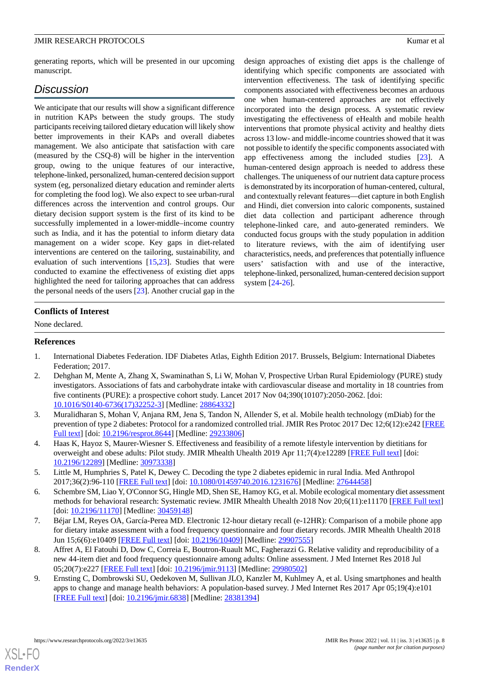generating reports, which will be presented in our upcoming manuscript.

# *Discussion*

We anticipate that our results will show a significant difference in nutrition KAPs between the study groups. The study participants receiving tailored dietary education will likely show better improvements in their KAPs and overall diabetes management. We also anticipate that satisfaction with care (measured by the CSQ-8) will be higher in the intervention group, owing to the unique features of our interactive, telephone-linked, personalized, human-centered decision support system (eg, personalized dietary education and reminder alerts for completing the food log). We also expect to see urban-rural differences across the intervention and control groups. Our dietary decision support system is the first of its kind to be successfully implemented in a lower-middle–income country such as India, and it has the potential to inform dietary data management on a wider scope. Key gaps in diet-related interventions are centered on the tailoring, sustainability, and evaluation of such interventions [[15,](#page-8-2)[23\]](#page-8-11). Studies that were conducted to examine the effectiveness of existing diet apps highlighted the need for tailoring approaches that can address the personal needs of the users [[23\]](#page-8-11). Another crucial gap in the

design approaches of existing diet apps is the challenge of identifying which specific components are associated with intervention effectiveness. The task of identifying specific components associated with effectiveness becomes an arduous one when human-centered approaches are not effectively incorporated into the design process. A systematic review investigating the effectiveness of eHealth and mobile health interventions that promote physical activity and healthy diets across 13 low- and middle-income countries showed that it was not possible to identify the specific components associated with app effectiveness among the included studies [[23\]](#page-8-11). A human-centered design approach is needed to address these challenges. The uniqueness of our nutrient data capture process is demonstrated by its incorporation of human-centered, cultural, and contextually relevant features—diet capture in both English and Hindi, diet conversion into caloric components, sustained diet data collection and participant adherence through telephone-linked care, and auto-generated reminders. We conducted focus groups with the study population in addition to literature reviews, with the aim of identifying user characteristics, needs, and preferences that potentially influence users' satisfaction with and use of the interactive, telephone-linked, personalized, human-centered decision support system [\[24](#page-8-12)-[26\]](#page-8-13).

# **Conflicts of Interest**

<span id="page-7-0"></span>None declared.

# <span id="page-7-1"></span>**References**

- 1. International Diabetes Federation. IDF Diabetes Atlas, Eighth Edition 2017. Brussels, Belgium: International Diabetes Federation; 2017.
- <span id="page-7-3"></span>2. Dehghan M, Mente A, Zhang X, Swaminathan S, Li W, Mohan V, Prospective Urban Rural Epidemiology (PURE) study investigators. Associations of fats and carbohydrate intake with cardiovascular disease and mortality in 18 countries from five continents (PURE): a prospective cohort study. Lancet 2017 Nov 04;390(10107):2050-2062. [doi: [10.1016/S0140-6736\(17\)32252-3\]](http://dx.doi.org/10.1016/S0140-6736(17)32252-3) [Medline: [28864332](http://www.ncbi.nlm.nih.gov/entrez/query.fcgi?cmd=Retrieve&db=PubMed&list_uids=28864332&dopt=Abstract)]
- <span id="page-7-4"></span><span id="page-7-2"></span>3. Muralidharan S, Mohan V, Anjana RM, Jena S, Tandon N, Allender S, et al. Mobile health technology (mDiab) for the prevention of type 2 diabetes: Protocol for a randomized controlled trial. JMIR Res Protoc 2017 Dec 12;6(12):e242 [\[FREE](https://www.researchprotocols.org/2017/12/e242/) [Full text\]](https://www.researchprotocols.org/2017/12/e242/) [doi: [10.2196/resprot.8644\]](http://dx.doi.org/10.2196/resprot.8644) [Medline: [29233806](http://www.ncbi.nlm.nih.gov/entrez/query.fcgi?cmd=Retrieve&db=PubMed&list_uids=29233806&dopt=Abstract)]
- <span id="page-7-5"></span>4. Haas K, Hayoz S, Maurer-Wiesner S. Effectiveness and feasibility of a remote lifestyle intervention by dietitians for overweight and obese adults: Pilot study. JMIR Mhealth Uhealth 2019 Apr 11;7(4):e12289 [[FREE Full text](https://mhealth.jmir.org/2019/4/e12289/)] [doi: [10.2196/12289\]](http://dx.doi.org/10.2196/12289) [Medline: [30973338\]](http://www.ncbi.nlm.nih.gov/entrez/query.fcgi?cmd=Retrieve&db=PubMed&list_uids=30973338&dopt=Abstract)
- 5. Little M, Humphries S, Patel K, Dewey C. Decoding the type 2 diabetes epidemic in rural India. Med Anthropol 2017;36(2):96-110 [[FREE Full text](http://europepmc.org/abstract/MED/27644458)] [doi: [10.1080/01459740.2016.1231676\]](http://dx.doi.org/10.1080/01459740.2016.1231676) [Medline: [27644458\]](http://www.ncbi.nlm.nih.gov/entrez/query.fcgi?cmd=Retrieve&db=PubMed&list_uids=27644458&dopt=Abstract)
- <span id="page-7-6"></span>6. Schembre SM, Liao Y, O'Connor SG, Hingle MD, Shen SE, Hamoy KG, et al. Mobile ecological momentary diet assessment methods for behavioral research: Systematic review. JMIR Mhealth Uhealth 2018 Nov 20;6(11):e11170 [[FREE Full text\]](https://mhealth.jmir.org/2018/11/e11170/) [doi: [10.2196/11170](http://dx.doi.org/10.2196/11170)] [Medline: [30459148\]](http://www.ncbi.nlm.nih.gov/entrez/query.fcgi?cmd=Retrieve&db=PubMed&list_uids=30459148&dopt=Abstract)
- <span id="page-7-7"></span>7. Béjar LM, Reyes OA, García-Perea MD. Electronic 12-hour dietary recall (e-12HR): Comparison of a mobile phone app for dietary intake assessment with a food frequency questionnaire and four dietary records. JMIR Mhealth Uhealth 2018 Jun 15;6(6):e10409 [\[FREE Full text\]](https://mhealth.jmir.org/2018/6/e10409/) [doi: [10.2196/10409](http://dx.doi.org/10.2196/10409)] [Medline: [29907555](http://www.ncbi.nlm.nih.gov/entrez/query.fcgi?cmd=Retrieve&db=PubMed&list_uids=29907555&dopt=Abstract)]
- 8. Affret A, El Fatouhi D, Dow C, Correia E, Boutron-Ruault MC, Fagherazzi G. Relative validity and reproducibility of a new 44-item diet and food frequency questionnaire among adults: Online assessment. J Med Internet Res 2018 Jul 05;20(7):e227 [\[FREE Full text](https://www.jmir.org/2018/7/e227/)] [doi: [10.2196/jmir.9113](http://dx.doi.org/10.2196/jmir.9113)] [Medline: [29980502](http://www.ncbi.nlm.nih.gov/entrez/query.fcgi?cmd=Retrieve&db=PubMed&list_uids=29980502&dopt=Abstract)]
- 9. Ernsting C, Dombrowski SU, Oedekoven M, Sullivan JLO, Kanzler M, Kuhlmey A, et al. Using smartphones and health apps to change and manage health behaviors: A population-based survey. J Med Internet Res 2017 Apr 05;19(4):e101 [[FREE Full text](https://www.jmir.org/2017/4/e101/)] [doi: [10.2196/jmir.6838](http://dx.doi.org/10.2196/jmir.6838)] [Medline: [28381394](http://www.ncbi.nlm.nih.gov/entrez/query.fcgi?cmd=Retrieve&db=PubMed&list_uids=28381394&dopt=Abstract)]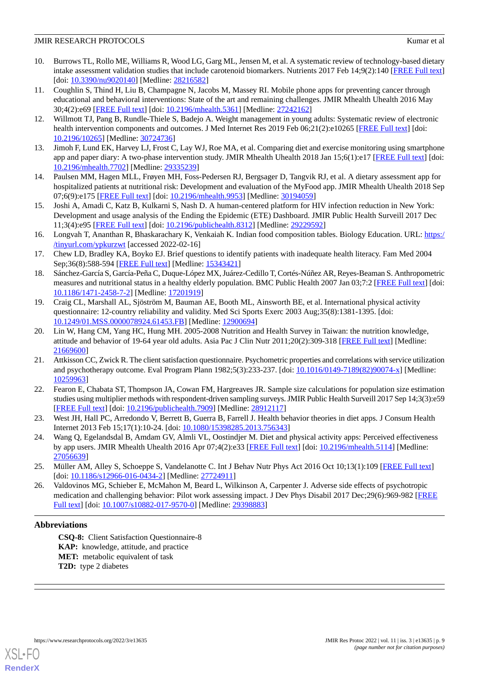- <span id="page-8-0"></span>10. Burrows TL, Rollo ME, Williams R, Wood LG, Garg ML, Jensen M, et al. A systematic review of technology-based dietary intake assessment validation studies that include carotenoid biomarkers. Nutrients 2017 Feb 14;9(2):140 [\[FREE Full text](https://www.mdpi.com/resolver?pii=nu9020140)] [doi: [10.3390/nu9020140](http://dx.doi.org/10.3390/nu9020140)] [Medline: [28216582\]](http://www.ncbi.nlm.nih.gov/entrez/query.fcgi?cmd=Retrieve&db=PubMed&list_uids=28216582&dopt=Abstract)
- <span id="page-8-3"></span>11. Coughlin S, Thind H, Liu B, Champagne N, Jacobs M, Massey RI. Mobile phone apps for preventing cancer through educational and behavioral interventions: State of the art and remaining challenges. JMIR Mhealth Uhealth 2016 May 30;4(2):e69 [\[FREE Full text](https://mhealth.jmir.org/2016/2/e69/)] [doi: [10.2196/mhealth.5361\]](http://dx.doi.org/10.2196/mhealth.5361) [Medline: [27242162](http://www.ncbi.nlm.nih.gov/entrez/query.fcgi?cmd=Retrieve&db=PubMed&list_uids=27242162&dopt=Abstract)]
- 12. Willmott TJ, Pang B, Rundle-Thiele S, Badejo A. Weight management in young adults: Systematic review of electronic health intervention components and outcomes. J Med Internet Res 2019 Feb 06;21(2):e10265 [\[FREE Full text](https://www.jmir.org/2019/2/e10265/)] [doi: [10.2196/10265\]](http://dx.doi.org/10.2196/10265) [Medline: [30724736\]](http://www.ncbi.nlm.nih.gov/entrez/query.fcgi?cmd=Retrieve&db=PubMed&list_uids=30724736&dopt=Abstract)
- <span id="page-8-1"></span>13. Jimoh F, Lund EK, Harvey LJ, Frost C, Lay WJ, Roe MA, et al. Comparing diet and exercise monitoring using smartphone app and paper diary: A two-phase intervention study. JMIR Mhealth Uhealth 2018 Jan 15;6(1):e17 [[FREE Full text](https://mhealth.jmir.org/2018/1/e17/)] [doi: [10.2196/mhealth.7702](http://dx.doi.org/10.2196/mhealth.7702)] [Medline: [29335239](http://www.ncbi.nlm.nih.gov/entrez/query.fcgi?cmd=Retrieve&db=PubMed&list_uids=29335239&dopt=Abstract)]
- <span id="page-8-2"></span>14. Paulsen MM, Hagen MLL, Frøyen MH, Foss-Pedersen RJ, Bergsager D, Tangvik RJ, et al. A dietary assessment app for hospitalized patients at nutritional risk: Development and evaluation of the MyFood app. JMIR Mhealth Uhealth 2018 Sep 07;6(9):e175 [\[FREE Full text](https://mhealth.jmir.org/2018/9/e175/)] [doi: [10.2196/mhealth.9953\]](http://dx.doi.org/10.2196/mhealth.9953) [Medline: [30194059](http://www.ncbi.nlm.nih.gov/entrez/query.fcgi?cmd=Retrieve&db=PubMed&list_uids=30194059&dopt=Abstract)]
- <span id="page-8-4"></span>15. Joshi A, Amadi C, Katz B, Kulkarni S, Nash D. A human-centered platform for HIV infection reduction in New York: Development and usage analysis of the Ending the Epidemic (ETE) Dashboard. JMIR Public Health Surveill 2017 Dec 11;3(4):e95 [\[FREE Full text](https://publichealth.jmir.org/2017/4/e95/)] [doi: [10.2196/publichealth.8312\]](http://dx.doi.org/10.2196/publichealth.8312) [Medline: [29229592\]](http://www.ncbi.nlm.nih.gov/entrez/query.fcgi?cmd=Retrieve&db=PubMed&list_uids=29229592&dopt=Abstract)
- <span id="page-8-5"></span>16. Longvah T, Ananthan R, Bhaskarachary K, Venkaiah K. Indian food composition tables. Biology Education. URL: [https:/](http://www.biologyeducation.net/wp-content/uploads/NUTRITIVE-VALUE-OF-INDIAN-FOODS-ICMR_Optimized.pdf) [/tinyurl.com/ypkurzwt](http://www.biologyeducation.net/wp-content/uploads/NUTRITIVE-VALUE-OF-INDIAN-FOODS-ICMR_Optimized.pdf) [accessed 2022-02-16]
- <span id="page-8-6"></span>17. Chew LD, Bradley KA, Boyko EJ. Brief questions to identify patients with inadequate health literacy. Fam Med 2004 Sep;36(8):588-594 [[FREE Full text](http://www.stfm.org/fmhub/fm2004/September/Lisa588.pdf)] [Medline: [15343421](http://www.ncbi.nlm.nih.gov/entrez/query.fcgi?cmd=Retrieve&db=PubMed&list_uids=15343421&dopt=Abstract)]
- <span id="page-8-7"></span>18. Sánchez-García S, García-Peña C, Duque-López MX, Juárez-Cedillo T, Cortés-Núñez AR, Reyes-Beaman S. Anthropometric measures and nutritional status in a healthy elderly population. BMC Public Health 2007 Jan 03;7:2 [\[FREE Full text](https://bmcpublichealth.biomedcentral.com/articles/10.1186/1471-2458-7-2)] [doi: [10.1186/1471-2458-7-2\]](http://dx.doi.org/10.1186/1471-2458-7-2) [Medline: [17201919\]](http://www.ncbi.nlm.nih.gov/entrez/query.fcgi?cmd=Retrieve&db=PubMed&list_uids=17201919&dopt=Abstract)
- <span id="page-8-8"></span>19. Craig CL, Marshall AL, Sjöström M, Bauman AE, Booth ML, Ainsworth BE, et al. International physical activity questionnaire: 12-country reliability and validity. Med Sci Sports Exerc 2003 Aug;35(8):1381-1395. [doi: [10.1249/01.MSS.0000078924.61453.FB](http://dx.doi.org/10.1249/01.MSS.0000078924.61453.FB)] [Medline: [12900694\]](http://www.ncbi.nlm.nih.gov/entrez/query.fcgi?cmd=Retrieve&db=PubMed&list_uids=12900694&dopt=Abstract)
- <span id="page-8-9"></span>20. Lin W, Hang CM, Yang HC, Hung MH. 2005-2008 Nutrition and Health Survey in Taiwan: the nutrition knowledge, attitude and behavior of 19-64 year old adults. Asia Pac J Clin Nutr 2011;20(2):309-318 [[FREE Full text](http://apjcn.nhri.org.tw/server/APJCN/20/2/309.pdf)] [Medline: [21669600](http://www.ncbi.nlm.nih.gov/entrez/query.fcgi?cmd=Retrieve&db=PubMed&list_uids=21669600&dopt=Abstract)]
- <span id="page-8-10"></span>21. Attkisson CC, Zwick R. The client satisfaction questionnaire. Psychometric properties and correlations with service utilization and psychotherapy outcome. Eval Program Plann 1982;5(3):233-237. [doi: [10.1016/0149-7189\(82\)90074-x\]](http://dx.doi.org/10.1016/0149-7189(82)90074-x) [Medline: [10259963](http://www.ncbi.nlm.nih.gov/entrez/query.fcgi?cmd=Retrieve&db=PubMed&list_uids=10259963&dopt=Abstract)]
- <span id="page-8-12"></span><span id="page-8-11"></span>22. Fearon E, Chabata ST, Thompson JA, Cowan FM, Hargreaves JR. Sample size calculations for population size estimation studies using multiplier methods with respondent-driven sampling surveys. JMIR Public Health Surveill 2017 Sep 14;3(3):e59 [[FREE Full text](https://publichealth.jmir.org/2017/3/e59/)] [doi: [10.2196/publichealth.7909\]](http://dx.doi.org/10.2196/publichealth.7909) [Medline: [28912117](http://www.ncbi.nlm.nih.gov/entrez/query.fcgi?cmd=Retrieve&db=PubMed&list_uids=28912117&dopt=Abstract)]
- 23. West JH, Hall PC, Arredondo V, Berrett B, Guerra B, Farrell J. Health behavior theories in diet apps. J Consum Health Internet 2013 Feb 15;17(1):10-24. [doi: [10.1080/15398285.2013.756343](http://dx.doi.org/10.1080/15398285.2013.756343)]
- <span id="page-8-13"></span>24. Wang Q, Egelandsdal B, Amdam GV, Almli VL, Oostindjer M. Diet and physical activity apps: Perceived effectiveness by app users. JMIR Mhealth Uhealth 2016 Apr 07;4(2):e33 [[FREE Full text](https://mhealth.jmir.org/2016/2/e33/)] [doi: [10.2196/mhealth.5114\]](http://dx.doi.org/10.2196/mhealth.5114) [Medline: [27056639](http://www.ncbi.nlm.nih.gov/entrez/query.fcgi?cmd=Retrieve&db=PubMed&list_uids=27056639&dopt=Abstract)]
- 25. Müller AM, Alley S, Schoeppe S, Vandelanotte C. Int J Behav Nutr Phys Act 2016 Oct 10;13(1):109 [[FREE Full text](https://ijbnpa.biomedcentral.com/articles/10.1186/s12966-016-0434-2)] [doi: [10.1186/s12966-016-0434-2](http://dx.doi.org/10.1186/s12966-016-0434-2)] [Medline: [27724911\]](http://www.ncbi.nlm.nih.gov/entrez/query.fcgi?cmd=Retrieve&db=PubMed&list_uids=27724911&dopt=Abstract)
- 26. Valdovinos MG, Schieber E, McMahon M, Beard L, Wilkinson A, Carpenter J. Adverse side effects of psychotropic medication and challenging behavior: Pilot work assessing impact. J Dev Phys Disabil 2017 Dec; 29(6): 969-982 [[FREE](http://europepmc.org/abstract/MED/29398883) [Full text\]](http://europepmc.org/abstract/MED/29398883) [doi: [10.1007/s10882-017-9570-0](http://dx.doi.org/10.1007/s10882-017-9570-0)] [Medline: [29398883](http://www.ncbi.nlm.nih.gov/entrez/query.fcgi?cmd=Retrieve&db=PubMed&list_uids=29398883&dopt=Abstract)]

# **Abbreviations**

**CSQ-8:** Client Satisfaction Questionnaire-8 **KAP:** knowledge, attitude, and practice **MET:** metabolic equivalent of task **T2D:** type 2 diabetes